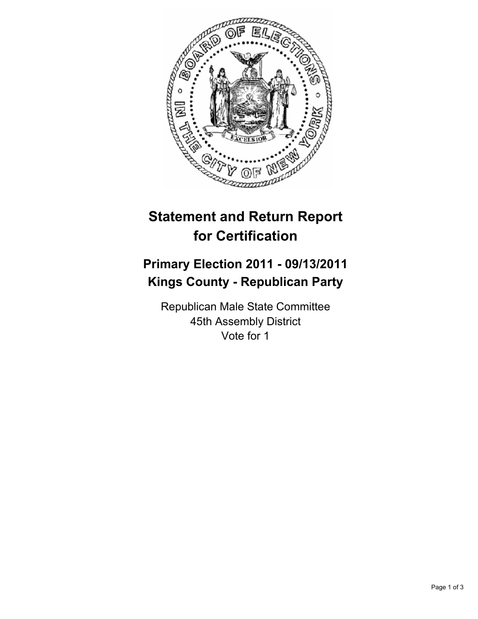

## **Statement and Return Report for Certification**

## **Primary Election 2011 - 09/13/2011 Kings County - Republican Party**

Republican Male State Committee 45th Assembly District Vote for 1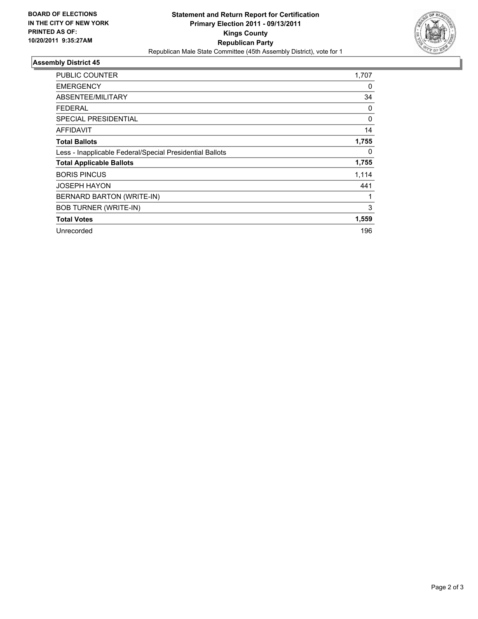

## **Assembly District 45**

| PUBLIC COUNTER                                           | 1,707    |
|----------------------------------------------------------|----------|
| <b>EMERGENCY</b>                                         | 0        |
| ABSENTEE/MILITARY                                        | 34       |
| FEDERAL                                                  | 0        |
| <b>SPECIAL PRESIDENTIAL</b>                              | $\Omega$ |
| AFFIDAVIT                                                | 14       |
| <b>Total Ballots</b>                                     | 1,755    |
| Less - Inapplicable Federal/Special Presidential Ballots | 0        |
| <b>Total Applicable Ballots</b>                          | 1,755    |
| <b>BORIS PINCUS</b>                                      | 1,114    |
| <b>JOSEPH HAYON</b>                                      | 441      |
| BERNARD BARTON (WRITE-IN)                                | 1        |
| <b>BOB TURNER (WRITE-IN)</b>                             | 3        |
| <b>Total Votes</b>                                       | 1,559    |
| Unrecorded                                               | 196      |